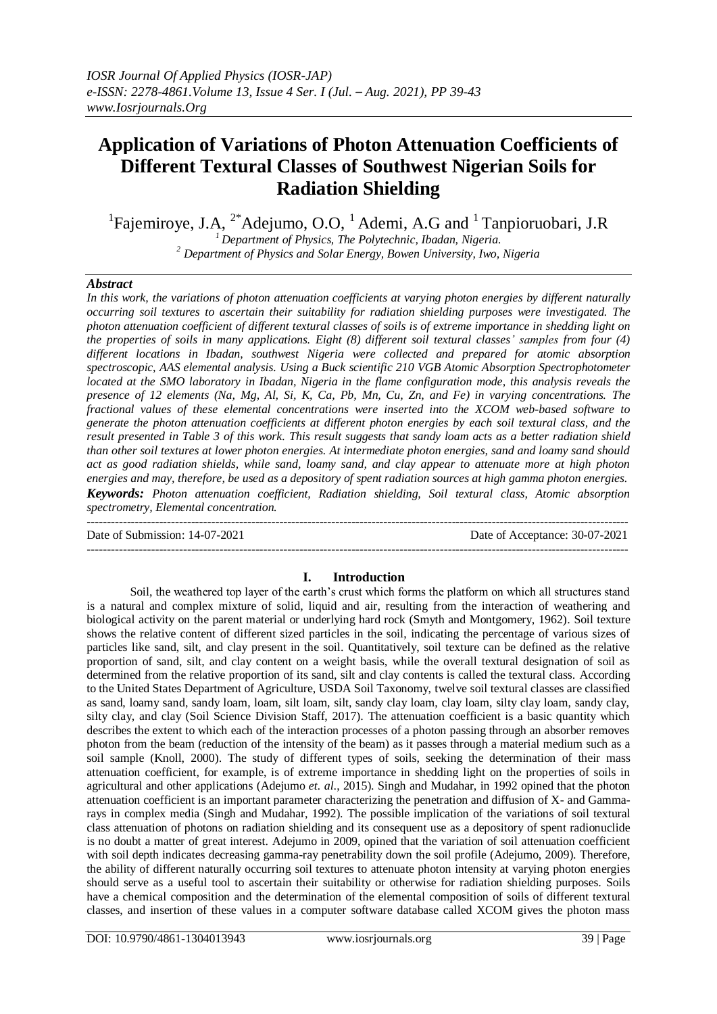# **Application of Variations of Photon Attenuation Coefficients of Different Textural Classes of Southwest Nigerian Soils for Radiation Shielding**

<sup>1</sup>Fajemiroye, J.A, <sup>2\*</sup>Adejumo, O.O, <sup>1</sup>Ademi, A.G and <sup>1</sup> Tanpioruobari, J.R *<sup>1</sup>Department of Physics, The Polytechnic, Ibadan, Nigeria.*

*<sup>2</sup> Department of Physics and Solar Energy, Bowen University, Iwo, Nigeria*

#### *Abstract*

*In this work, the variations of photon attenuation coefficients at varying photon energies by different naturally occurring soil textures to ascertain their suitability for radiation shielding purposes were investigated. The photon attenuation coefficient of different textural classes of soils is of extreme importance in shedding light on the properties of soils in many applications. Eight (8) different soil textural classes' samples from four (4) different locations in Ibadan, southwest Nigeria were collected and prepared for atomic absorption spectroscopic, AAS elemental analysis. Using a Buck scientific 210 VGB Atomic Absorption Spectrophotometer located at the SMO laboratory in Ibadan, Nigeria in the flame configuration mode, this analysis reveals the presence of 12 elements (Na, Mg, Al, Si, K, Ca, Pb, Mn, Cu, Zn, and Fe) in varying concentrations. The fractional values of these elemental concentrations were inserted into the XCOM web-based software to generate the photon attenuation coefficients at different photon energies by each soil textural class, and the result presented in Table 3 of this work. This result suggests that sandy loam acts as a better radiation shield than other soil textures at lower photon energies. At intermediate photon energies, sand and loamy sand should act as good radiation shields, while sand, loamy sand, and clay appear to attenuate more at high photon energies and may, therefore, be used as a depository of spent radiation sources at high gamma photon energies. Keywords: Photon attenuation coefficient, Radiation shielding, Soil textural class, Atomic absorption spectrometry, Elemental concentration.*

---------------------------------------------------------------------------------------------------------------------------------------

Date of Submission: 14-07-2021 Date of Acceptance: 30-07-2021

## **I. Introduction**

---------------------------------------------------------------------------------------------------------------------------------------

Soil, the weathered top layer of the earth's crust which forms the platform on which all structures stand is a natural and complex mixture of solid, liquid and air, resulting from the interaction of weathering and biological activity on the parent material or underlying hard rock (Smyth and Montgomery, 1962). Soil texture shows the relative content of different sized particles in the soil, indicating the percentage of various sizes of particles like sand, silt, and clay present in the soil. Quantitatively, soil texture can be defined as the relative proportion of sand, silt, and clay content on a weight basis, while the overall textural designation of soil as determined from the relative proportion of its sand, silt and clay contents is called the textural class. According to the United States Department of Agriculture, USDA Soil Taxonomy, twelve soil textural classes are classified as sand, loamy sand, sandy loam, loam, silt loam, silt, sandy clay loam, clay loam, silty clay loam, sandy clay, silty clay, and clay (Soil Science Division Staff, 2017). The attenuation coefficient is a basic quantity which describes the extent to which each of the interaction processes of a photon passing through an absorber removes photon from the beam (reduction of the intensity of the beam) as it passes through a material medium such as a soil sample (Knoll, 2000). The study of different types of soils, seeking the determination of their mass attenuation coefficient, for example, is of extreme importance in shedding light on the properties of soils in agricultural and other applications (Adejumo *et. al*., 2015). Singh and Mudahar, in 1992 opined that the photon attenuation coefficient is an important parameter characterizing the penetration and diffusion of X- and Gammarays in complex media (Singh and Mudahar, 1992). The possible implication of the variations of soil textural class attenuation of photons on radiation shielding and its consequent use as a depository of spent radionuclide is no doubt a matter of great interest. Adejumo in 2009, opined that the variation of soil attenuation coefficient with soil depth indicates decreasing gamma-ray penetrability down the soil profile (Adejumo, 2009). Therefore, the ability of different naturally occurring soil textures to attenuate photon intensity at varying photon energies should serve as a useful tool to ascertain their suitability or otherwise for radiation shielding purposes. Soils have a chemical composition and the determination of the elemental composition of soils of different textural classes, and insertion of these values in a computer software database called XCOM gives the photon mass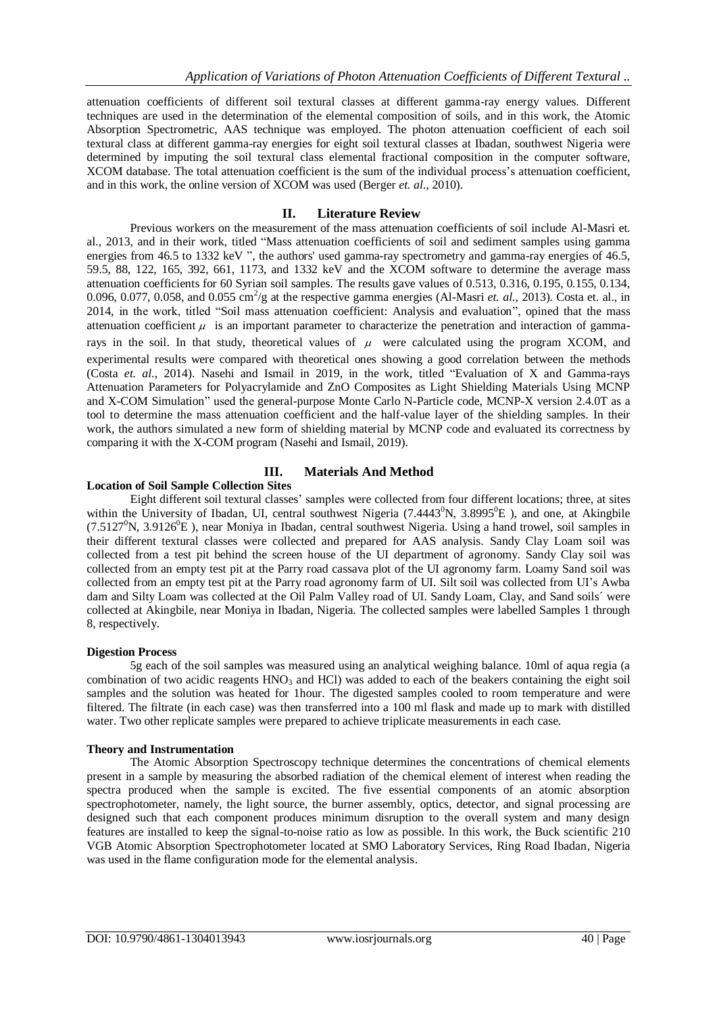attenuation coefficients of different soil textural classes at different gamma-ray energy values. Different techniques are used in the determination of the elemental composition of soils, and in this work, the Atomic Absorption Spectrometric, AAS technique was employed. The photon attenuation coefficient of each soil textural class at different gamma-ray energies for eight soil textural classes at Ibadan, southwest Nigeria were determined by imputing the soil textural class elemental fractional composition in the computer software, XCOM database. The total attenuation coefficient is the sum of the individual process's attenuation coefficient, and in this work, the online version of XCOM was used (Berger *et. al*., 2010).

### **II. Literature Review**

Previous workers on the measurement of the mass attenuation coefficients of soil include Al-Masri et. al., 2013, and in their work, titled "Mass attenuation coefficients of soil and sediment samples using gamma energies from 46.5 to 1332 keV ", the authors' used gamma-ray spectrometry and gamma-ray energies of 46.5, 59.5, 88, 122, 165, 392, 661, 1173, and 1332 keV and the XCOM software to determine the average mass attenuation coefficients for 60 Syrian soil samples. The results gave values of 0.513, 0.316, 0.195, 0.155, 0.134, 0.096, 0.077, 0.058, and 0.055 cm<sup>2</sup>/g at the respective gamma energies (Al-Masri *et. al.*, 2013). Costa et. al., in 2014, in the work, titled "Soil mass attenuation coefficient: Analysis and evaluation", opined that the mass attenuation coefficient  $\mu$  is an important parameter to characterize the penetration and interaction of gammarays in the soil. In that study, theoretical values of  $\mu$  were calculated using the program XCOM, and experimental results were compared with theoretical ones showing a good correlation between the methods (Costa *et. al*., 2014). Nasehi and Ismail in 2019, in the work, titled "Evaluation of X and Gamma-rays Attenuation Parameters for Polyacrylamide and ZnO Composites as Light Shielding Materials Using MCNP and X-COM Simulation" used the general-purpose Monte Carlo N-Particle code, MCNP-X version 2.4.0T as a tool to determine the mass attenuation coefficient and the half-value layer of the shielding samples. In their work, the authors simulated a new form of shielding material by MCNP code and evaluated its correctness by comparing it with the X-COM program (Nasehi and Ismail, 2019).

## **III. Materials And Method**

## **Location of Soil Sample Collection Sites**

Eight different soil textural classes' samples were collected from four different locations; three, at sites within the University of Ibadan, UI, central southwest Nigeria  $(7.4443^0N, 3.8995^0E)$ , and one, at Akingbile (7.5127<sup>0</sup>N, 3.9126<sup>0</sup>E), near Moniya in Ibadan, central southwest Nigeria. Using a hand trowel, soil samples in their different textural classes were collected and prepared for AAS analysis. Sandy Clay Loam soil was collected from a test pit behind the screen house of the UI department of agronomy. Sandy Clay soil was collected from an empty test pit at the Parry road cassava plot of the UI agronomy farm. Loamy Sand soil was collected from an empty test pit at the Parry road agronomy farm of UI. Silt soil was collected from UI's Awba dam and Silty Loam was collected at the Oil Palm Valley road of UI. Sandy Loam, Clay, and Sand soils´ were collected at Akingbile, near Moniya in Ibadan, Nigeria. The collected samples were labelled Samples 1 through 8, respectively.

#### **Digestion Process**

5g each of the soil samples was measured using an analytical weighing balance. 10ml of aqua regia (a combination of two acidic reagents  $HNO_3$  and  $HCl$ ) was added to each of the beakers containing the eight soil samples and the solution was heated for 1hour. The digested samples cooled to room temperature and were filtered. The filtrate (in each case) was then transferred into a 100 ml flask and made up to mark with distilled water. Two other replicate samples were prepared to achieve triplicate measurements in each case.

## **Theory and Instrumentation**

The Atomic Absorption Spectroscopy technique determines the concentrations of chemical elements present in a sample by measuring the absorbed radiation of the chemical element of interest when reading the spectra produced when the sample is excited. The five essential components of an atomic absorption spectrophotometer, namely, the light source, the burner assembly, optics, detector, and signal processing are designed such that each component produces minimum disruption to the overall system and many design features are installed to keep the signal-to-noise ratio as low as possible. In this work, the Buck scientific 210 VGB Atomic Absorption Spectrophotometer located at SMO Laboratory Services, Ring Road Ibadan, Nigeria was used in the flame configuration mode for the elemental analysis.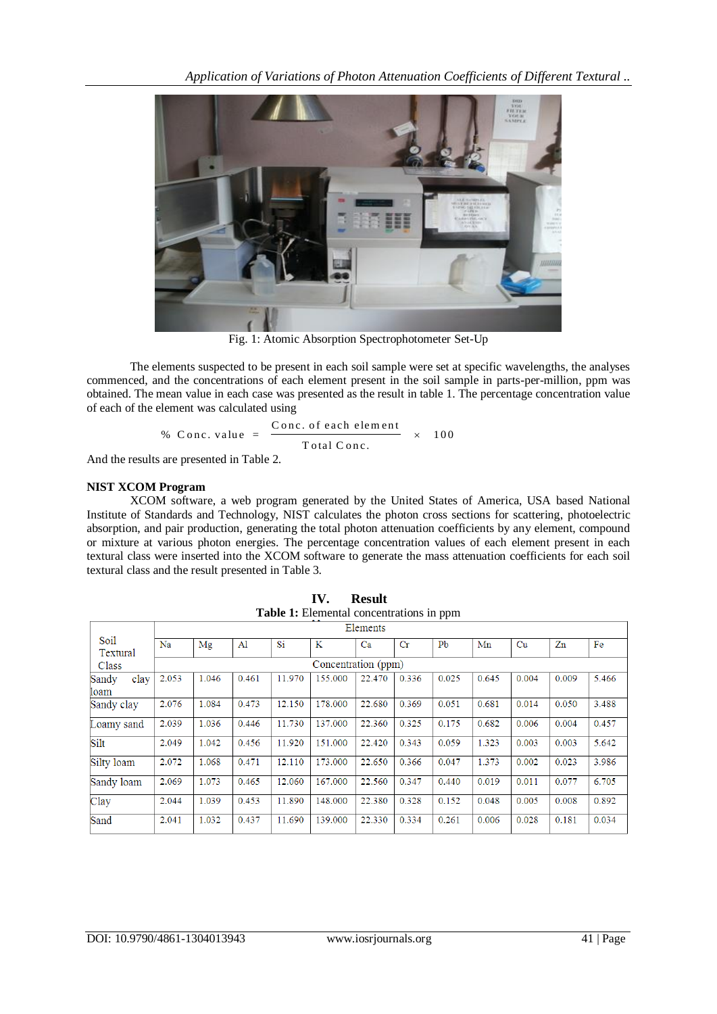

Fig. 1: Atomic Absorption Spectrophotometer Set-Up

The elements suspected to be present in each soil sample were set at specific wavelengths, the analyses commenced, and the concentrations of each element present in the soil sample in parts-per-million, ppm was obtained. The mean value in each case was presented as the result in table 1. The percentage concentration value of each of the element was calculated using

Element was calculated using

\n% Conc. value = 
$$
\frac{\text{Conc. of each element}}{\text{Total Conc.}} \times 100
$$

And the results are presented in Table 2.

#### **NIST XCOM Program**

XCOM software, a web program generated by the United States of America, USA based National Institute of Standards and Technology, NIST calculates the photon cross sections for scattering, photoelectric absorption, and pair production, generating the total photon attenuation coefficients by any element, compound or mixture at various photon energies. The percentage concentration values of each element present in each textural class were inserted into the XCOM software to generate the mass attenuation coefficients for each soil textural class and the result presented in Table 3.

| <b>Table 1:</b> Elemental concentrations in ppm |                     |          |       |        |         |        |             |                |       |       |       |       |
|-------------------------------------------------|---------------------|----------|-------|--------|---------|--------|-------------|----------------|-------|-------|-------|-------|
|                                                 |                     | Elements |       |        |         |        |             |                |       |       |       |       |
| Soil<br>Textural                                | Na                  | Mg       | Al    | Si     | K       | Ca     | $_{\rm Cr}$ | P <sub>b</sub> | Mn    | Cu    | Zn    | Fe    |
| Class                                           | Concentration (ppm) |          |       |        |         |        |             |                |       |       |       |       |
| clay<br>Sandy<br>loam                           | 2.053               | 1.046    | 0.461 | 11.970 | 155.000 | 22.470 | 0.336       | 0.025          | 0.645 | 0.004 | 0.009 | 5.466 |
| Sandy clay                                      | 2.076               | 1.084    | 0.473 | 12.150 | 178.000 | 22.680 | 0.369       | 0.051          | 0.681 | 0.014 | 0.050 | 3.488 |
| Loamy sand                                      | 2.039               | 1.036    | 0.446 | 11.730 | 137.000 | 22.360 | 0.325       | 0.175          | 0.682 | 0.006 | 0.004 | 0.457 |
| Silt                                            | 2.049               | 1.042    | 0.456 | 11.920 | 151.000 | 22.420 | 0.343       | 0.059          | 1.323 | 0.003 | 0.003 | 5.642 |
| Silty loam                                      | 2.072               | 1.068    | 0.471 | 12.110 | 173.000 | 22.650 | 0.366       | 0.047          | 1.373 | 0.002 | 0.023 | 3.986 |
| Sandy loam                                      | 2.069               | 1.073    | 0.465 | 12.060 | 167.000 | 22.560 | 0.347       | 0.440          | 0.019 | 0.011 | 0.077 | 6.705 |
| Clay                                            | 2.044               | 1.039    | 0.453 | 11.890 | 148.000 | 22.380 | 0.328       | 0.152          | 0.048 | 0.005 | 0.008 | 0.892 |
| Sand                                            | 2.041               | 1.032    | 0.437 | 11.690 | 139.000 | 22.330 | 0.334       | 0.261          | 0.006 | 0.028 | 0.181 | 0.034 |

| <b>IV.</b> Result                        |
|------------------------------------------|
| Table 1: Elemental concentrations in ppm |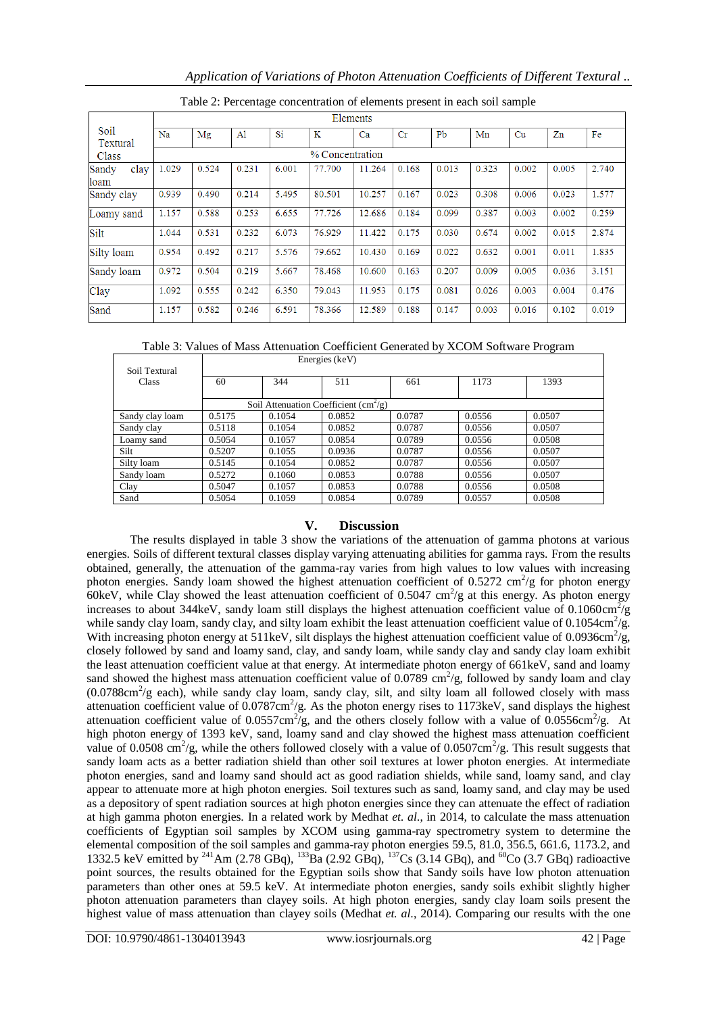|  |  |  |  | Application of Variations of Photon Attenuation Coefficients of Different Textural |
|--|--|--|--|------------------------------------------------------------------------------------|
|  |  |  |  |                                                                                    |
|  |  |  |  |                                                                                    |
|  |  |  |  |                                                                                    |

|                       |       | Elements        |                |       |        |        |             |                |       |       |       |       |  |
|-----------------------|-------|-----------------|----------------|-------|--------|--------|-------------|----------------|-------|-------|-------|-------|--|
| Soil<br>Textural      | Na    | Mg              | $\mathbf{A}$ l | Si    | K      | Ca     | $_{\rm Cr}$ | P <sub>b</sub> | Mn    | Cu    | Zn    | Fe    |  |
| Class                 |       | % Concentration |                |       |        |        |             |                |       |       |       |       |  |
| Sandy<br>clay<br>loam | 1.029 | 0.524           | 0.231          | 6.001 | 77.700 | 11.264 | 0.168       | 0.013          | 0.323 | 0.002 | 0.005 | 2.740 |  |
| Sandy clay            | 0.939 | 0.490           | 0.214          | 5.495 | 80.501 | 10.257 | 0.167       | 0.023          | 0.308 | 0.006 | 0.023 | 1.577 |  |
| Loamy sand            | 1.157 | 0.588           | 0.253          | 6.655 | 77.726 | 12.686 | 0.184       | 0.099          | 0.387 | 0.003 | 0.002 | 0.259 |  |
| Silt                  | 1.044 | 0.531           | 0.232          | 6.073 | 76.929 | 11.422 | 0.175       | 0.030          | 0.674 | 0.002 | 0.015 | 2.874 |  |
| Silty loam            | 0.954 | 0.492           | 0.217          | 5.576 | 79.662 | 10.430 | 0.169       | 0.022          | 0.632 | 0.001 | 0.011 | 1.835 |  |
| Sandy loam            | 0.972 | 0.504           | 0.219          | 5.667 | 78.468 | 10.600 | 0.163       | 0.207          | 0.009 | 0.005 | 0.036 | 3.151 |  |
| Clay                  | 1.092 | 0.555           | 0.242          | 6.350 | 79.043 | 11.953 | 0.175       | 0.081          | 0.026 | 0.003 | 0.004 | 0.476 |  |
| Sand                  | 1.157 | 0.582           | 0.246          | 6.591 | 78.366 | 12.589 | 0.188       | 0.147          | 0.003 | 0.016 | 0.102 | 0.019 |  |

Table 2: Percentage concentration of elements present in each soil sample

Table 3: Values of Mass Attenuation Coefficient Generated by XCOM Software Program

|                        | Energies (keV)                          |        |        |        |        |        |  |  |  |  |
|------------------------|-----------------------------------------|--------|--------|--------|--------|--------|--|--|--|--|
| Soil Textural<br>Class | 60                                      | 344    | 511    | 661    | 1173   | 1393   |  |  |  |  |
|                        | Soil Attenuation Coefficient $(cm^2/g)$ |        |        |        |        |        |  |  |  |  |
| Sandy clay loam        | 0.5175                                  | 0.1054 | 0.0852 | 0.0787 | 0.0556 | 0.0507 |  |  |  |  |
| Sandy clay             | 0.5118                                  | 0.1054 | 0.0852 | 0.0787 | 0.0556 | 0.0507 |  |  |  |  |
| Loamy sand             | 0.5054                                  | 0.1057 | 0.0854 | 0.0789 | 0.0556 | 0.0508 |  |  |  |  |
| Silt                   | 0.5207                                  | 0.1055 | 0.0936 | 0.0787 | 0.0556 | 0.0507 |  |  |  |  |
| Silty loam             | 0.5145                                  | 0.1054 | 0.0852 | 0.0787 | 0.0556 | 0.0507 |  |  |  |  |
| Sandy loam             | 0.5272                                  | 0.1060 | 0.0853 | 0.0788 | 0.0556 | 0.0507 |  |  |  |  |
| Clay                   | 0.5047                                  | 0.1057 | 0.0853 | 0.0788 | 0.0556 | 0.0508 |  |  |  |  |
| Sand                   | 0.5054                                  | 0.1059 | 0.0854 | 0.0789 | 0.0557 | 0.0508 |  |  |  |  |

## **V. Discussion**

The results displayed in table 3 show the variations of the attenuation of gamma photons at various energies. Soils of different textural classes display varying attenuating abilities for gamma rays. From the results obtained, generally, the attenuation of the gamma-ray varies from high values to low values with increasing photon energies. Sandy loam showed the highest attenuation coefficient of  $0.5272 \text{ cm}^2/\text{g}$  for photon energy 60keV, while Clay showed the least attenuation coefficient of 0.5047 cm<sup>2</sup>/g at this energy. As photon energy increases to about 344keV, sandy loam still displays the highest attenuation coefficient value of 0.1060cm<sup>2</sup>/g while sandy clay loam, sandy clay, and silty loam exhibit the least attenuation coefficient value of 0.1054cm<sup>2</sup>/g. With increasing photon energy at 511keV, silt displays the highest attenuation coefficient value of 0.0936cm<sup>2</sup>/g, closely followed by sand and loamy sand, clay, and sandy loam, while sandy clay and sandy clay loam exhibit the least attenuation coefficient value at that energy. At intermediate photon energy of 661keV, sand and loamy sand showed the highest mass attenuation coefficient value of 0.0789 cm<sup>2</sup>/g, followed by sandy loam and clay (0.0788cm<sup>2</sup>/g each), while sandy clay loam, sandy clay, silt, and silty loam all followed closely with mass attenuation coefficient value of  $0.0787 \text{cm}^2/\text{g}$ . As the photon energy rises to 1173keV, sand displays the highest attenuation coefficient value of 0.0557cm<sup>2</sup>/g, and the others closely follow with a value of 0.0556cm<sup>2</sup>/g. At high photon energy of 1393 keV, sand, loamy sand and clay showed the highest mass attenuation coefficient value of 0.0508 cm<sup>2</sup>/g, while the others followed closely with a value of 0.0507cm<sup>2</sup>/g. This result suggests that sandy loam acts as a better radiation shield than other soil textures at lower photon energies. At intermediate photon energies, sand and loamy sand should act as good radiation shields, while sand, loamy sand, and clay appear to attenuate more at high photon energies. Soil textures such as sand, loamy sand, and clay may be used as a depository of spent radiation sources at high photon energies since they can attenuate the effect of radiation at high gamma photon energies. In a related work by Medhat *et. al*., in 2014, to calculate the mass attenuation coefficients of Egyptian soil samples by XCOM using gamma-ray spectrometry system to determine the elemental composition of the soil samples and gamma-ray photon energies 59.5, 81.0, 356.5, 661.6, 1173.2, and 1332.5 keV emitted by <sup>241</sup>Am (2.78 GBq), <sup>133</sup>Ba (2.92 GBq), <sup>137</sup>Cs (3.14 GBq), and <sup>60</sup>Co (3.7 GBq) radioactive point sources, the results obtained for the Egyptian soils show that Sandy soils have low photon attenuation parameters than other ones at 59.5 keV. At intermediate photon energies, sandy soils exhibit slightly higher photon attenuation parameters than clayey soils. At high photon energies, sandy clay loam soils present the highest value of mass attenuation than clayey soils (Medhat *et. al*., 2014). Comparing our results with the one